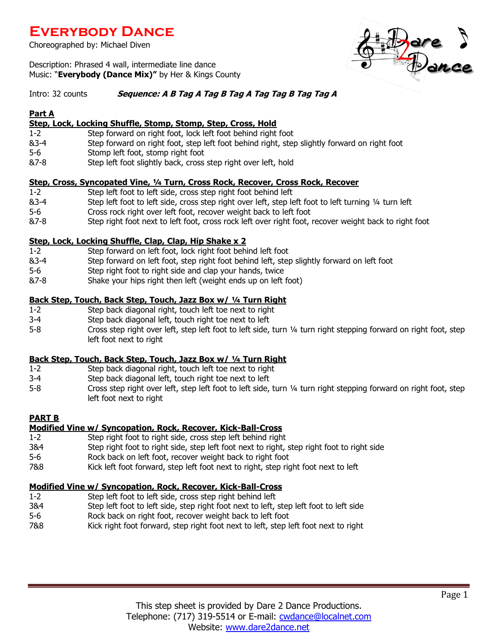## **Everybody Dance**

Choreographed by: Michael Diven

Description: Phrased 4 wall, intermediate line dance Music: "**Everybody (Dance Mix)"** by Her & Kings County

#### Intro: 32 counts **Sequence: A B Tag A Tag B Tag A Tag Tag B Tag Tag A**

#### **Part A**

## **Step, Lock, Locking Shuffle, Stomp, Stomp, Step, Cross, Hold**

- 1-2 Step forward on right foot, lock left foot behind right foot
- &3-4 Step forward on right foot, step left foot behind right, step slightly forward on right foot
- 5-6 Stomp left foot, stomp right foot
- &7-8 Step left foot slightly back, cross step right over left, hold

#### **Step, Cross, Syncopated Vine, ¼ Turn, Cross Rock, Recover, Cross Rock, Recover**

- 1-2 Step left foot to left side, cross step right foot behind left
- &3-4 Step left foot to left side, cross step right over left, step left foot to left turning ¼ turn left
- 5-6 Cross rock right over left foot, recover weight back to left foot
- &7-8 Step right foot next to left foot, cross rock left over right foot, recover weight back to right foot

## **Step, Lock, Locking Shuffle, Clap, Clap, Hip Shake x 2**

- 1-2 Step forward on left foot, lock right foot behind left foot
- &3-4 Step forward on left foot, step right foot behind left, step slightly forward on left foot
- 5-6 Step right foot to right side and clap your hands, twice
- &7-8 Shake your hips right then left (weight ends up on left foot)

## **Back Step, Touch, Back Step, Touch, Jazz Box w/ ¼ Turn Right**

- 1-2 Step back diagonal right, touch left toe next to right
- 3-4 Step back diagonal left, touch right toe next to left
- 5-8 Cross step right over left, step left foot to left side, turn ¼ turn right stepping forward on right foot, step left foot next to right

## **Back Step, Touch, Back Step, Touch, Jazz Box w/ ¼ Turn Right**

- 1-2 Step back diagonal right, touch left toe next to right
- 3-4 Step back diagonal left, touch right toe next to left
- 5-8 Cross step right over left, step left foot to left side, turn ¼ turn right stepping forward on right foot, step left foot next to right

## **PART B**

## **Modified Vine w/ Syncopation, Rock, Recover, Kick-Ball-Cross**

- 1-2 Step right foot to right side, cross step left behind right
- 3&4 Step right foot to right side, step left foot next to right, step right foot to right side
- 5-6 Rock back on left foot, recover weight back to right foot
- 7&8 Kick left foot forward, step left foot next to right, step right foot next to left

## **Modified Vine w/ Syncopation, Rock, Recover, Kick-Ball-Cross**

- 1-2 Step left foot to left side, cross step right behind left
- 3&4 Step left foot to left side, step right foot next to left, step left foot to left side
- 5-6 Rock back on right foot, recover weight back to left foot
- 7&8 Kick right foot forward, step right foot next to left, step left foot next to right